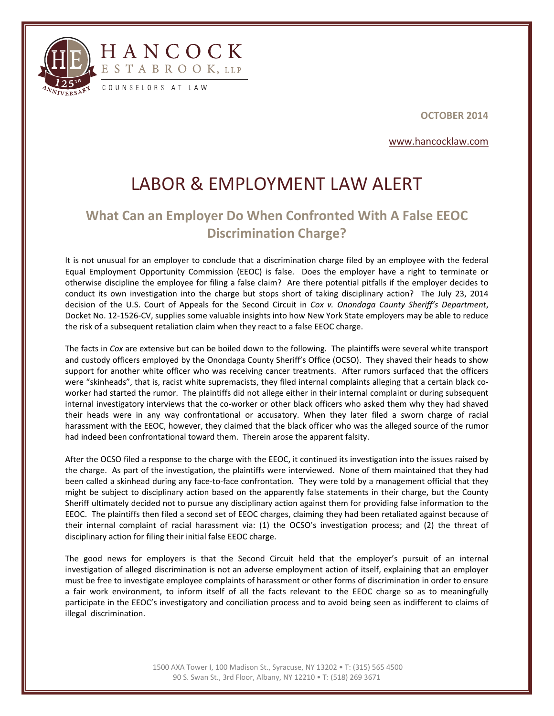

l



**OCTOBER 2014**

www.hancocklaw.com

## LABOR & EMPLOYMENT LAW ALERT

## **What Can an Employer Do When Confronted With A False EEOC Discrimination Charge?**

It is not unusual for an employer to conclude that a discrimination charge filed by an employee with the federal Equal Employment Opportunity Commission (EEOC) is false. Does the employer have a right to terminate or otherwise discipline the employee for filing a false claim? Are there potential pitfalls if the employer decides to conduct its own investigation into the charge but stops short of taking disciplinary action? The July 23, 2014 decision of the U.S. Court of Appeals for the Second Circuit in *Cox v. Onondaga County Sheriff's Department*, Docket No. 12‐1526‐CV, supplies some valuable insights into how New York State employers may be able to reduce the risk of a subsequent retaliation claim when they react to a false EEOC charge.

The facts in *Cox* are extensive but can be boiled down to the following. The plaintiffs were several white transport and custody officers employed by the Onondaga County Sheriff's Office (OCSO). They shaved their heads to show support for another white officer who was receiving cancer treatments. After rumors surfaced that the officers were "skinheads", that is, racist white supremacists, they filed internal complaints alleging that a certain black coworker had started the rumor. The plaintiffs did not allege either in their internal complaint or during subsequent internal investigatory interviews that the co-worker or other black officers who asked them why they had shaved their heads were in any way confrontational or accusatory. When they later filed a sworn charge of racial harassment with the EEOC, however, they claimed that the black officer who was the alleged source of the rumor had indeed been confrontational toward them. Therein arose the apparent falsity.

After the OCSO filed a response to the charge with the EEOC, it continued its investigation into the issues raised by the charge. As part of the investigation, the plaintiffs were interviewed. None of them maintained that they had been called a skinhead during any face‐to‐face confrontation. They were told by a management official that they might be subject to disciplinary action based on the apparently false statements in their charge, but the County Sheriff ultimately decided not to pursue any disciplinary action against them for providing false information to the EEOC. The plaintiffs then filed a second set of EEOC charges, claiming they had been retaliated against because of their internal complaint of racial harassment via: (1) the OCSO's investigation process; and (2) the threat of disciplinary action for filing their initial false EEOC charge.

The good news for employers is that the Second Circuit held that the employer's pursuit of an internal investigation of alleged discrimination is not an adverse employment action of itself, explaining that an employer must be free to investigate employee complaints of harassment or other forms of discrimination in order to ensure a fair work environment, to inform itself of all the facts relevant to the EEOC charge so as to meaningfully participate in the EEOC's investigatory and conciliation process and to avoid being seen as indifferent to claims of illegal discrimination.

> 1500 AXA Tower I, 100 Madison St., Syracuse, NY 13202 • T: (315) 565 4500 90 S. Swan St., 3rd Floor, Albany, NY 12210 • T: (518) 269 3671